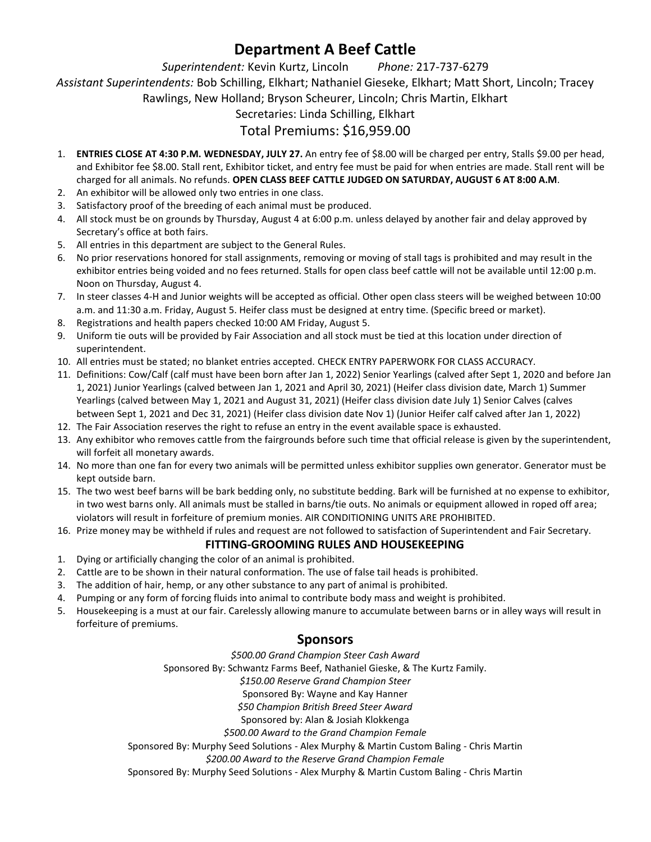### **Department A Beef Cattle**

*Superintendent:* Kevin Kurtz, Lincoln *Phone:* 217-737-6279

*Assistant Superintendents:* Bob Schilling, Elkhart; Nathaniel Gieseke, Elkhart; Matt Short, Lincoln; Tracey Rawlings, New Holland; Bryson Scheurer, Lincoln; Chris Martin, Elkhart

#### Secretaries: Linda Schilling, Elkhart

#### Total Premiums: \$16,959.00

- 1. **ENTRIES CLOSE AT 4:30 P.M. WEDNESDAY, JULY 27.** An entry fee of \$8.00 will be charged per entry, Stalls \$9.00 per head, and Exhibitor fee \$8.00. Stall rent, Exhibitor ticket, and entry fee must be paid for when entries are made. Stall rent will be charged for all animals. No refunds. **OPEN CLASS BEEF CATTLE JUDGED ON SATURDAY, AUGUST 6 AT 8:00 A.M**.
- 2. An exhibitor will be allowed only two entries in one class.
- 3. Satisfactory proof of the breeding of each animal must be produced.
- 4. All stock must be on grounds by Thursday, August 4 at 6:00 p.m. unless delayed by another fair and delay approved by Secretary's office at both fairs.
- 5. All entries in this department are subject to the General Rules.
- 6. No prior reservations honored for stall assignments, removing or moving of stall tags is prohibited and may result in the exhibitor entries being voided and no fees returned. Stalls for open class beef cattle will not be available until 12:00 p.m. Noon on Thursday, August 4.
- 7. In steer classes 4-H and Junior weights will be accepted as official. Other open class steers will be weighed between 10:00 a.m. and 11:30 a.m. Friday, August 5. Heifer class must be designed at entry time. (Specific breed or market).
- 8. Registrations and health papers checked 10:00 AM Friday, August 5.
- 9. Uniform tie outs will be provided by Fair Association and all stock must be tied at this location under direction of superintendent.
- 10. All entries must be stated; no blanket entries accepted. CHECK ENTRY PAPERWORK FOR CLASS ACCURACY.
- 11. Definitions: Cow/Calf (calf must have been born after Jan 1, 2022) Senior Yearlings (calved after Sept 1, 2020 and before Jan 1, 2021) Junior Yearlings (calved between Jan 1, 2021 and April 30, 2021) (Heifer class division date, March 1) Summer Yearlings (calved between May 1, 2021 and August 31, 2021) (Heifer class division date July 1) Senior Calves (calves between Sept 1, 2021 and Dec 31, 2021) (Heifer class division date Nov 1) (Junior Heifer calf calved after Jan 1, 2022)
- 12. The Fair Association reserves the right to refuse an entry in the event available space is exhausted.
- 13. Any exhibitor who removes cattle from the fairgrounds before such time that official release is given by the superintendent, will forfeit all monetary awards.
- 14. No more than one fan for every two animals will be permitted unless exhibitor supplies own generator. Generator must be kept outside barn.
- 15. The two west beef barns will be bark bedding only, no substitute bedding. Bark will be furnished at no expense to exhibitor, in two west barns only. All animals must be stalled in barns/tie outs. No animals or equipment allowed in roped off area; violators will result in forfeiture of premium monies. AIR CONDITIONING UNITS ARE PROHIBITED.
- 16. Prize money may be withheld if rules and request are not followed to satisfaction of Superintendent and Fair Secretary.

#### **FITTING-GROOMING RULES AND HOUSEKEEPING**

- 1. Dying or artificially changing the color of an animal is prohibited.
- 2. Cattle are to be shown in their natural conformation. The use of false tail heads is prohibited.
- 3. The addition of hair, hemp, or any other substance to any part of animal is prohibited.
- 4. Pumping or any form of forcing fluids into animal to contribute body mass and weight is prohibited.
- 5. Housekeeping is a must at our fair. Carelessly allowing manure to accumulate between barns or in alley ways will result in forfeiture of premiums.

#### **Sponsors**

*\$500.00 Grand Champion Steer Cash Award*

Sponsored By: Schwantz Farms Beef, Nathaniel Gieske, & The Kurtz Family.

*\$150.00 Reserve Grand Champion Steer*

Sponsored By: Wayne and Kay Hanner

*\$50 Champion British Breed Steer Award*

Sponsored by: Alan & Josiah Klokkenga

*\$500.00 Award to the Grand Champion Female*

Sponsored By: Murphy Seed Solutions - Alex Murphy & Martin Custom Baling - Chris Martin

*\$200.00 Award to the Reserve Grand Champion Female*

Sponsored By: Murphy Seed Solutions - Alex Murphy & Martin Custom Baling - Chris Martin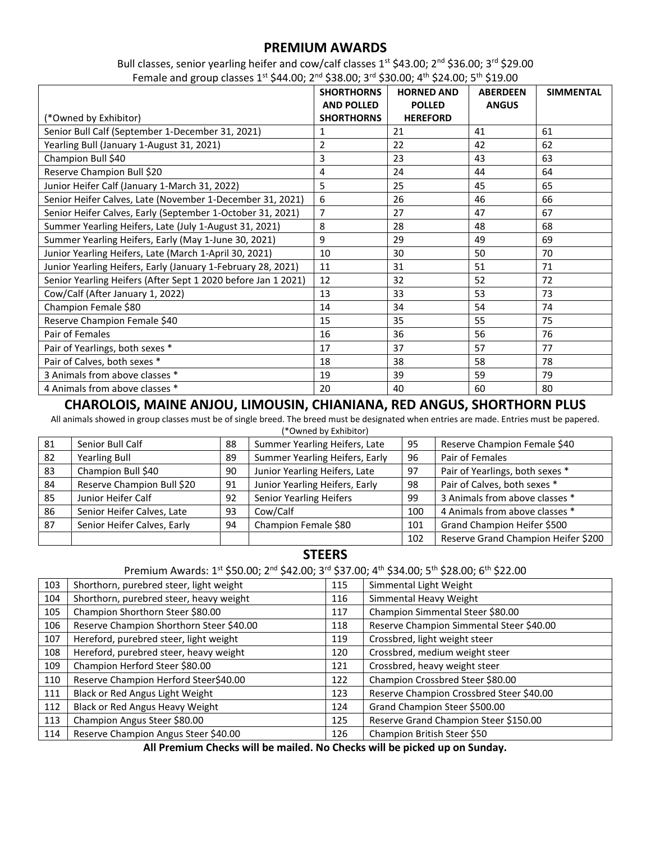#### **PREMIUM AWARDS**

Bull classes, senior yearling heifer and cow/calf classes 1<sup>st</sup> \$43.00; 2<sup>nd</sup> \$36.00; 3<sup>rd</sup> \$29.00 Female and group classes 1st \$44.00; 2nd \$38.00; 3rd \$30.00; 4th \$24.00; 5th \$19.00

|                                                               | <b>SHORTHORNS</b> | <b>HORNED AND</b> | <b>ABERDEEN</b> | <b>SIMMENTAL</b> |
|---------------------------------------------------------------|-------------------|-------------------|-----------------|------------------|
|                                                               | <b>AND POLLED</b> | <b>POLLED</b>     | <b>ANGUS</b>    |                  |
| (*Owned by Exhibitor)                                         | <b>SHORTHORNS</b> | <b>HEREFORD</b>   |                 |                  |
| Senior Bull Calf (September 1-December 31, 2021)              | 1                 | 21                | 41              | 61               |
| Yearling Bull (January 1-August 31, 2021)                     | $\overline{2}$    | 22                | 42              | 62               |
| Champion Bull \$40                                            | 3                 | 23                | 43              | 63               |
| Reserve Champion Bull \$20                                    | 4                 | 24                | 44              | 64               |
| Junior Heifer Calf (January 1-March 31, 2022)                 | 5                 | 25                | 45              | 65               |
| Senior Heifer Calves, Late (November 1-December 31, 2021)     | 6                 | 26                | 46              | 66               |
| Senior Heifer Calves, Early (September 1-October 31, 2021)    | $\overline{7}$    | 27                | 47              | 67               |
| Summer Yearling Heifers, Late (July 1-August 31, 2021)        | 8                 | 28                | 48              | 68               |
| Summer Yearling Heifers, Early (May 1-June 30, 2021)          | 9                 | 29                | 49              | 69               |
| Junior Yearling Heifers, Late (March 1-April 30, 2021)        | 10                | 30                | 50              | 70               |
| Junior Yearling Heifers, Early (January 1-February 28, 2021)  | 11                | 31                | 51              | 71               |
| Senior Yearling Heifers (After Sept 1 2020 before Jan 1 2021) | 12                | 32                | 52              | 72               |
| Cow/Calf (After January 1, 2022)                              | 13                | 33                | 53              | 73               |
| Champion Female \$80                                          | 14                | 34                | 54              | 74               |
| Reserve Champion Female \$40                                  | 15                | 35                | 55              | 75               |
| Pair of Females                                               | 16                | 36                | 56              | 76               |
| Pair of Yearlings, both sexes *                               | 17                | 37                | 57              | 77               |
| Pair of Calves, both sexes *                                  | 18                | 38                | 58              | 78               |
| 3 Animals from above classes *                                | 19                | 39                | 59              | 79               |
| 4 Animals from above classes *                                | 20                | 40                | 60              | 80               |

#### **CHAROLOIS, MAINE ANJOU, LIMOUSIN, CHIANIANA, RED ANGUS, SHORTHORN PLUS**

All animals showed in group classes must be of single breed. The breed must be designated when entries are made. Entries must be papered.<br>(\*Currently Fighting)

| (*Owned by Exhibitor) |                             |    |                                |     |                                     |
|-----------------------|-----------------------------|----|--------------------------------|-----|-------------------------------------|
| 81                    | Senior Bull Calf            | 88 | Summer Yearling Heifers, Late  | 95  | Reserve Champion Female \$40        |
| 82                    | <b>Yearling Bull</b>        | 89 | Summer Yearling Heifers, Early | 96  | Pair of Females                     |
| 83                    | Champion Bull \$40          | 90 | Junior Yearling Heifers, Late  | 97  | Pair of Yearlings, both sexes *     |
| 84                    | Reserve Champion Bull \$20  | 91 | Junior Yearling Heifers, Early | 98  | Pair of Calves, both sexes *        |
| 85                    | Junior Heifer Calf          | 92 | <b>Senior Yearling Heifers</b> | 99  | 3 Animals from above classes *      |
| 86                    | Senior Heifer Calves, Late  | 93 | Cow/Calf                       | 100 | 4 Animals from above classes *      |
| 87                    | Senior Heifer Calves, Early | 94 | Champion Female \$80           | 101 | Grand Champion Heifer \$500         |
|                       |                             |    |                                | 102 | Reserve Grand Champion Heifer \$200 |

#### **STEERS**

Premium Awards: 1st \$50.00; 2<sup>nd</sup> \$42.00; 3<sup>rd</sup> \$37.00; 4<sup>th</sup> \$34.00; 5<sup>th</sup> \$28.00; 6<sup>th</sup> \$22.00

| 103 | Shorthorn, purebred steer, light weight  | 115 | Simmental Light Weight                   |
|-----|------------------------------------------|-----|------------------------------------------|
| 104 | Shorthorn, purebred steer, heavy weight  | 116 | Simmental Heavy Weight                   |
| 105 | Champion Shorthorn Steer \$80.00         | 117 | Champion Simmental Steer \$80.00         |
| 106 | Reserve Champion Shorthorn Steer \$40.00 | 118 | Reserve Champion Simmental Steer \$40.00 |
| 107 | Hereford, purebred steer, light weight   | 119 | Crossbred, light weight steer            |
| 108 | Hereford, purebred steer, heavy weight   | 120 | Crossbred, medium weight steer           |
| 109 | Champion Herford Steer \$80.00           | 121 | Crossbred, heavy weight steer            |
| 110 | Reserve Champion Herford Steer\$40.00    | 122 | Champion Crossbred Steer \$80.00         |
| 111 | Black or Red Angus Light Weight          | 123 | Reserve Champion Crossbred Steer \$40.00 |
| 112 | Black or Red Angus Heavy Weight          | 124 | Grand Champion Steer \$500.00            |
| 113 | Champion Angus Steer \$80.00             | 125 | Reserve Grand Champion Steer \$150.00    |
| 114 | Reserve Champion Angus Steer \$40.00     | 126 | Champion British Steer \$50              |

**All Premium Checks will be mailed. No Checks will be picked up on Sunday.**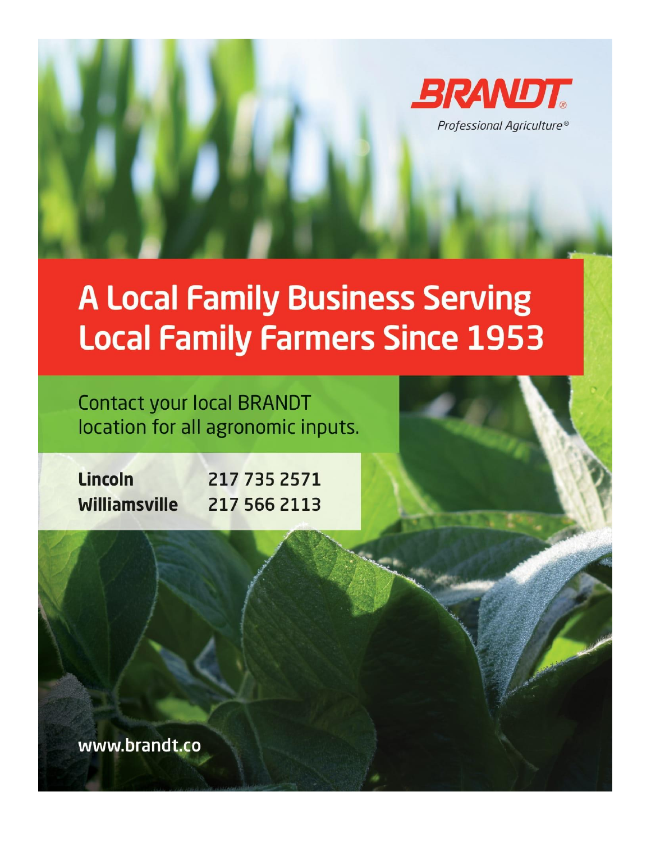

# **A Local Family Business Serving Local Family Farmers Since 1953**

**Contact your local BRANDT** location for all agronomic inputs.

**Lincoln Williamsville** 

217 735 2571 217 566 2113

www.brandt.co